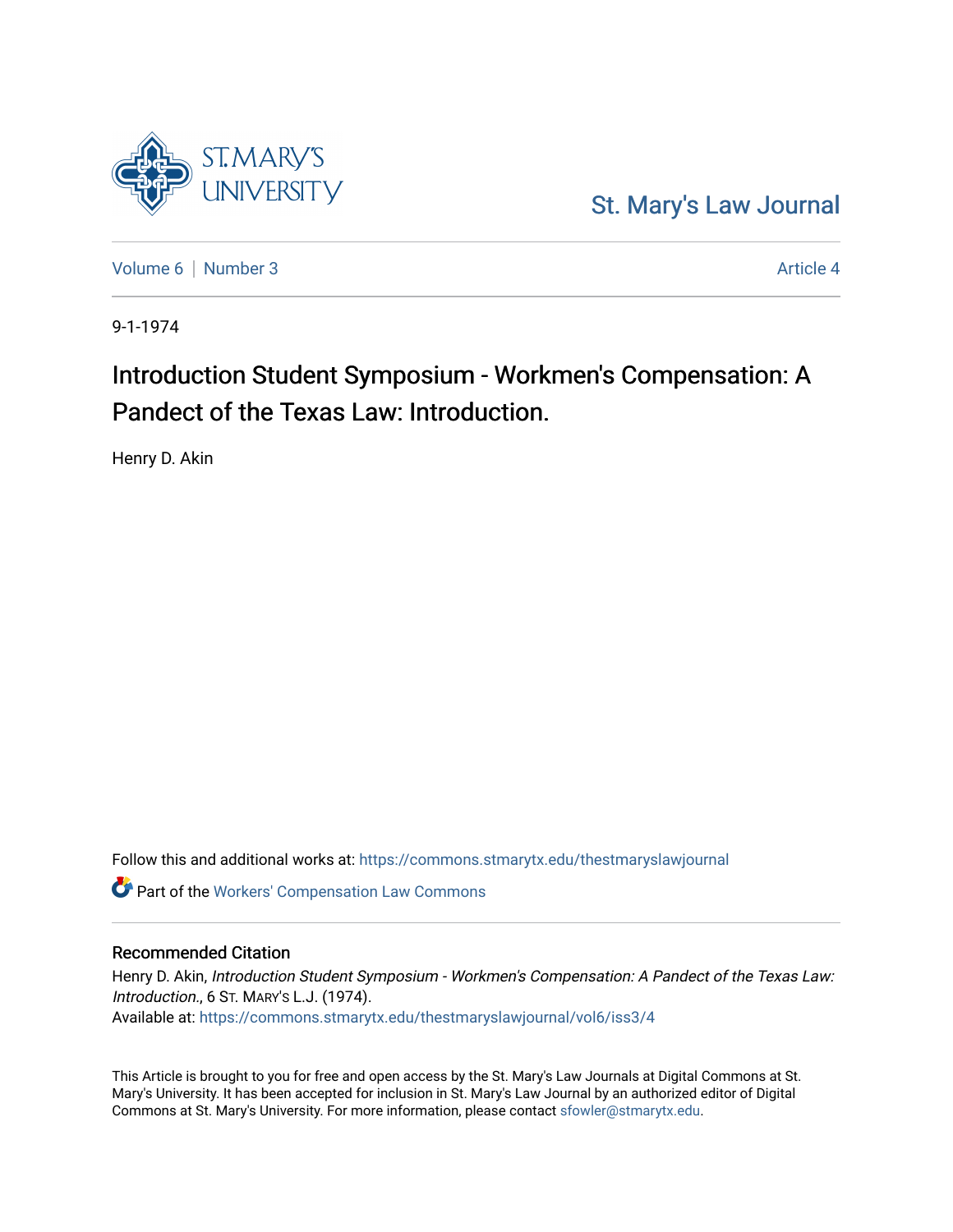

[Volume 6](https://commons.stmarytx.edu/thestmaryslawjournal/vol6) [Number 3](https://commons.stmarytx.edu/thestmaryslawjournal/vol6/iss3) Article 4

**ST.MARY'S** 

9-1-1974

# Introduction Student Symposium - Workmen's Compensation: A Pandect of the Texas Law: Introduction.

Henry D. Akin

Follow this and additional works at: [https://commons.stmarytx.edu/thestmaryslawjournal](https://commons.stmarytx.edu/thestmaryslawjournal?utm_source=commons.stmarytx.edu%2Fthestmaryslawjournal%2Fvol6%2Fiss3%2F4&utm_medium=PDF&utm_campaign=PDFCoverPages) 

Part of the [Workers' Compensation Law Commons](https://network.bepress.com/hgg/discipline/889?utm_source=commons.stmarytx.edu%2Fthestmaryslawjournal%2Fvol6%2Fiss3%2F4&utm_medium=PDF&utm_campaign=PDFCoverPages)

# Recommended Citation

Henry D. Akin, Introduction Student Symposium - Workmen's Compensation: A Pandect of the Texas Law: Introduction., 6 ST. MARY'S L.J. (1974). Available at: [https://commons.stmarytx.edu/thestmaryslawjournal/vol6/iss3/4](https://commons.stmarytx.edu/thestmaryslawjournal/vol6/iss3/4?utm_source=commons.stmarytx.edu%2Fthestmaryslawjournal%2Fvol6%2Fiss3%2F4&utm_medium=PDF&utm_campaign=PDFCoverPages) 

This Article is brought to you for free and open access by the St. Mary's Law Journals at Digital Commons at St. Mary's University. It has been accepted for inclusion in St. Mary's Law Journal by an authorized editor of Digital Commons at St. Mary's University. For more information, please contact [sfowler@stmarytx.edu](mailto:sfowler@stmarytx.edu).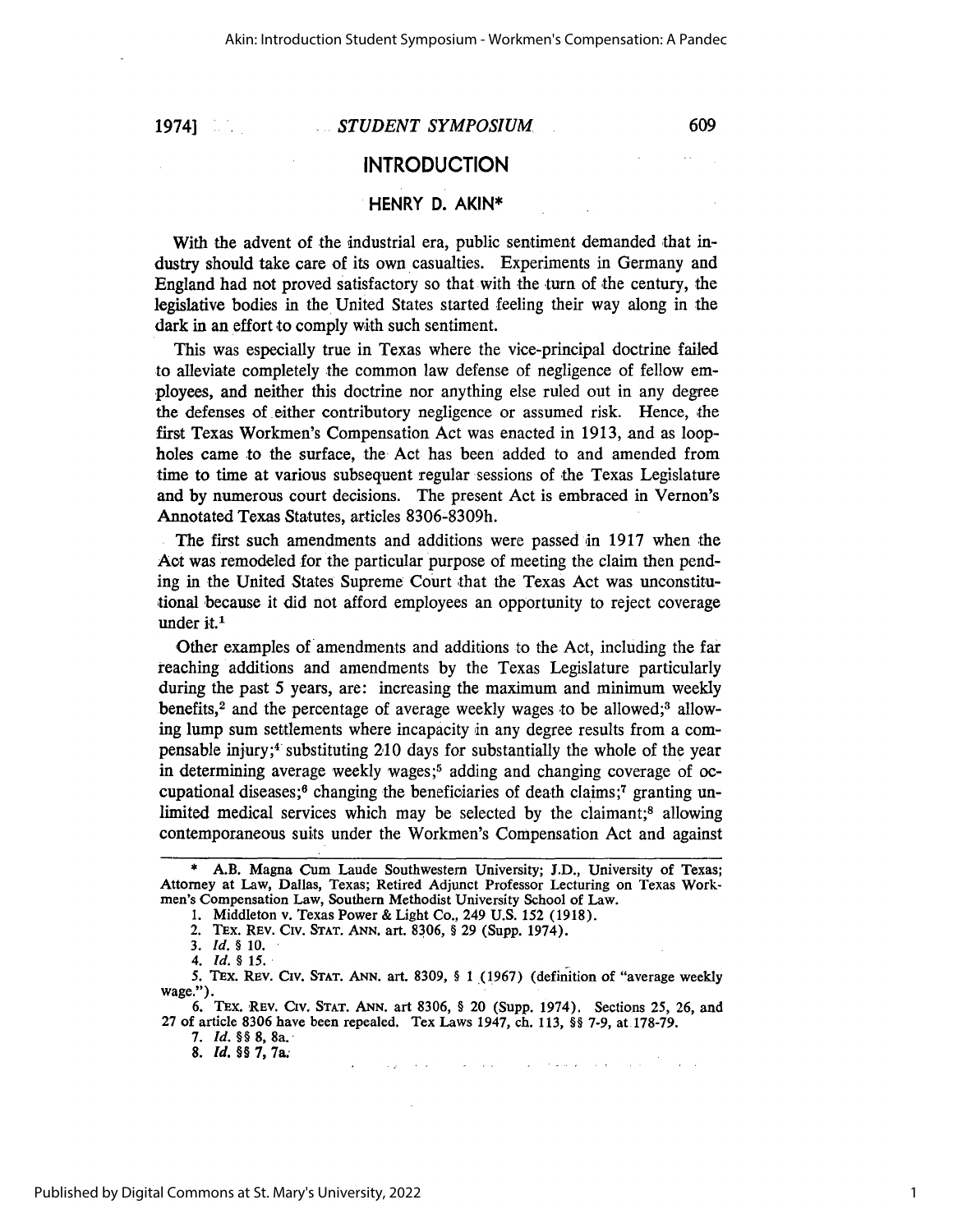1974]

#### *STUDENT SYMPOSIUM*

609

 $\omega_{\rm eff}$ 

### **INTRODUCTION**

# **HENRY D. AKIN\***

With the advent of the industrial era, public sentiment demanded that industry should take care of its own casualties. Experiments in Germany and England had not proved satisfactory so that with the turn of the century, the legislative bodies in the United States started feeling their way along in the dark in an effort to comply with such sentiment.

This was especially true in Texas where the vice-principal doctrine failed to alleviate completely the common law defense of negligence of fellow employees, and neither this doctrine nor anything else ruled out in any degree the defenses of either contributory negligence or assumed risk. Hence, the first Texas Workmen's Compensation Act was enacted in 1913, and as loopholes came to the surface, the Act has been added to and amended from time to time at various subsequent regular sessions of the Texas Legislature and by numerous court decisions. The present Act is embraced in Vernon's Annotated Texas Statutes, articles 8306-8309h.

The first such amendments and additions were passed in 1917 when the Act was remodeled for the particular purpose of meeting the claim then pending in the United States Supreme Court that the Texas Act was unconstitutional because it did not afford employees an opportunity to reject coverage under it.<sup>1</sup>

Other examples of amendments and additions to the Act, including the far reaching additions and amendments by the Texas Legislature particularly during the past **5** years, are: increasing the maximum and minimum weekly benefits,<sup>2</sup> and the percentage of average weekly wages to be allowed;<sup>3</sup> allowing lump sum settlements where incapacity in any degree results from a compensable injury; $4$  substituting 210 days for substantially the whole of the year in determining average weekly wages;5 adding and changing coverage **of** occupational diseases;<sup>6</sup> changing the beneficiaries of death claims;<sup>7</sup> granting unlimited medical services which may be selected by the claimant;<sup>8</sup> allowing contemporaneous suits under the Workmen's Compensation Act and against

**5.** TEx. REv. Civ. **STAT. ANN.** art. 8309, **§** 1 **.(1967)** (definition of "average weekly wage.").

6. TEx. REV. CIv. **STAT. ANN.** art 8306, **§** 20 (Supp. 1974). Sections 25, 26, and 27 of article 8306 have been repealed. Tex Laws 1947, ch. 113, **§** 7-9, at 178-79.

**7.** *Id. §§* **8,** 8a. *8. Id. §§* **7,** 7a.

المتحدث والأناب والاستعاد التوارد المتواطنين

<sup>\*</sup> A.B. Magna Cum Laude Southwestern University; J.D., University of Texas; Attorney at Law, Dallas, Texas; Retired Adjunct Professor Lecturing on Texas Workmen's Compensation Law, Southern Methodist University School of Law.

**<sup>1.</sup>** Middleton v. Texas Power & Light Co., 249 U.S. 152 (1918).

<sup>2.</sup> Thx. REv. Civ. **STAT. ANN.** art. 8306, § 29 (Supp. 1974).

*<sup>3.</sup> Id. §* **10.**

*<sup>4.</sup> Id. § 15.*